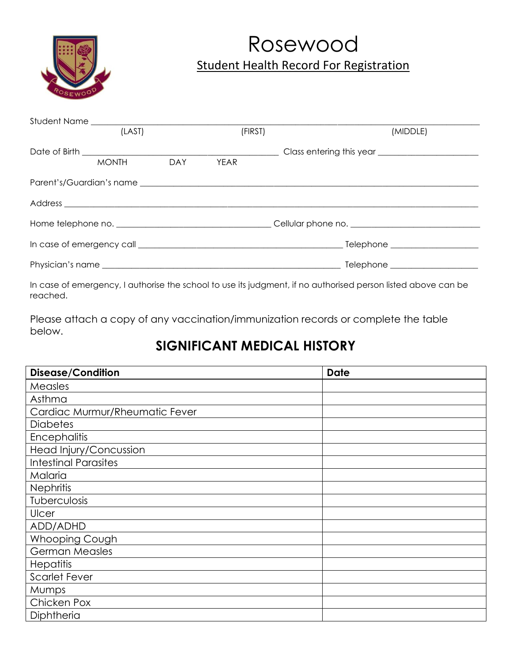

# Rosewood Student Health Record For Registration

| (LAST) |              |     | (FIRST)     |  | (MIDDLE)                                                                                                      |  |
|--------|--------------|-----|-------------|--|---------------------------------------------------------------------------------------------------------------|--|
|        |              |     |             |  |                                                                                                               |  |
|        | <b>MONTH</b> | DAY | <b>YEAR</b> |  |                                                                                                               |  |
|        |              |     |             |  |                                                                                                               |  |
|        |              |     |             |  |                                                                                                               |  |
|        |              |     |             |  |                                                                                                               |  |
|        |              |     |             |  |                                                                                                               |  |
|        |              |     |             |  |                                                                                                               |  |
|        |              |     |             |  | In case of emergency, I authorise the school to use its judgment, if no authorised person listed above can be |  |

reached.

Please attach a copy of any vaccination/immunization records or complete the table below.

### **SIGNIFICANT MEDICAL HISTORY**

| <b>Disease/Condition</b>       | <b>Date</b> |
|--------------------------------|-------------|
| Measles                        |             |
| Asthma                         |             |
| Cardiac Murmur/Rheumatic Fever |             |
| <b>Diabetes</b>                |             |
| Encephalitis                   |             |
| Head Injury/Concussion         |             |
| <b>Intestinal Parasites</b>    |             |
| Malaria                        |             |
| <b>Nephritis</b>               |             |
| Tuberculosis                   |             |
| Ulcer                          |             |
| ADD/ADHD                       |             |
| Whooping Cough                 |             |
| <b>German Measles</b>          |             |
| Hepatitis                      |             |
| <b>Scarlet Fever</b>           |             |
| Mumps                          |             |
| Chicken Pox                    |             |
| Diphtheria                     |             |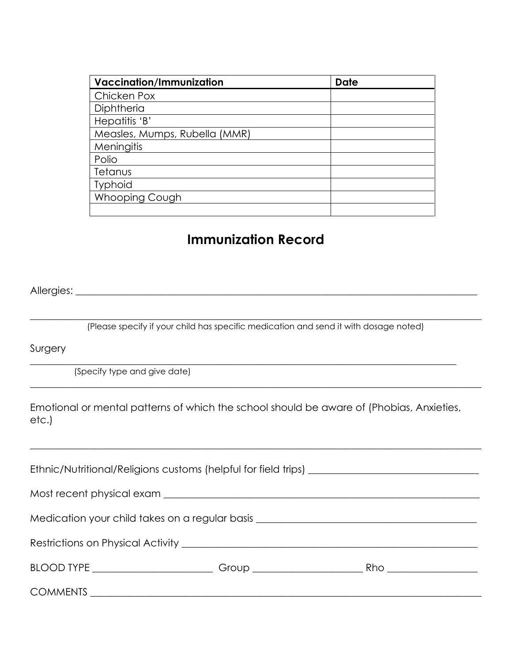| <b>Vaccination/Immunization</b> | <b>Date</b> |
|---------------------------------|-------------|
| Chicken Pox                     |             |
| Diphtheria                      |             |
| Hepatitis 'B'                   |             |
| Measles, Mumps, Rubella (MMR)   |             |
| Meningitis                      |             |
| Polio                           |             |
| Tetanus                         |             |
| <b>Typhoid</b>                  |             |
| Whooping Cough                  |             |
|                                 |             |

### **Immunization Record**

Allergies: \_\_\_\_\_\_\_\_\_\_\_\_\_\_\_\_\_\_\_\_\_\_\_\_\_\_\_\_\_\_\_\_\_\_\_\_\_\_\_\_\_\_\_\_\_\_\_\_\_\_\_\_\_\_\_\_\_\_\_\_\_\_\_\_\_\_\_\_\_\_\_\_\_\_\_\_\_\_\_\_

 $\_$  , and the set of the set of the set of the set of the set of the set of the set of the set of the set of the set of the set of the set of the set of the set of the set of the set of the set of the set of the set of th (Please specify if your child has specific medication and send it with dosage noted)

 $\_$  , and the set of the set of the set of the set of the set of the set of the set of the set of the set of the set of the set of the set of the set of the set of the set of the set of the set of the set of the set of th

 $\_$  , and the set of the set of the set of the set of the set of the set of the set of the set of the set of the set of the set of the set of the set of the set of the set of the set of the set of the set of the set of th

Surgery

(Specify type and give date)

Emotional or mental patterns of which the school should be aware of (Phobias, Anxieties, etc.)

 $\_$  , and the set of the set of the set of the set of the set of the set of the set of the set of the set of the set of the set of the set of the set of the set of the set of the set of the set of the set of the set of th

| Medication your child takes on a regular basis _________________________________ |  |                        |  |  |  |  |
|----------------------------------------------------------------------------------|--|------------------------|--|--|--|--|
|                                                                                  |  |                        |  |  |  |  |
|                                                                                  |  | Rho __________________ |  |  |  |  |
|                                                                                  |  |                        |  |  |  |  |